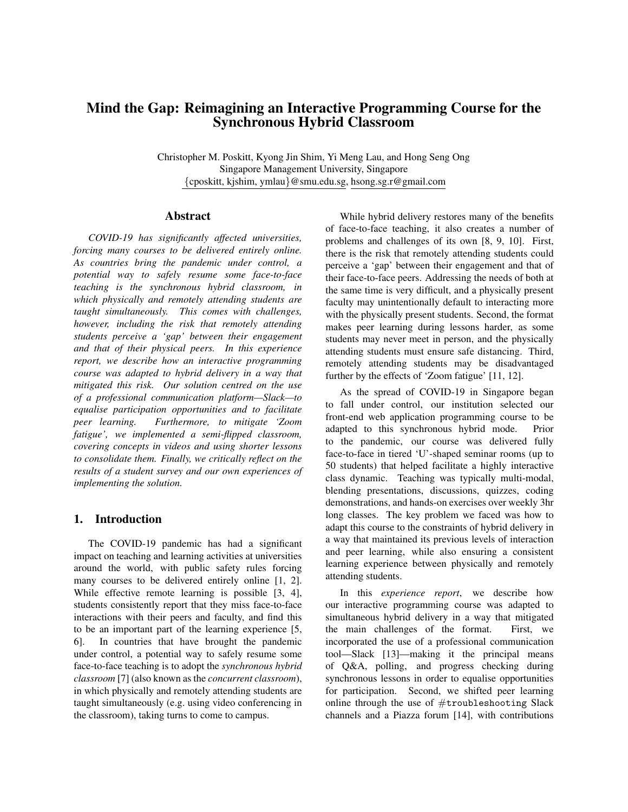# Mind the Gap: Reimagining an Interactive Programming Course for the Synchronous Hybrid Classroom

Christopher M. Poskitt, Kyong Jin Shim, Yi Meng Lau, and Hong Seng Ong Singapore Management University, Singapore {cposkitt, kjshim, ymlau}@smu.edu.sg, hsong.sg.r@gmail.com

#### Abstract

*COVID-19 has significantly affected universities, forcing many courses to be delivered entirely online. As countries bring the pandemic under control, a potential way to safely resume some face-to-face teaching is the synchronous hybrid classroom, in which physically and remotely attending students are taught simultaneously. This comes with challenges, however, including the risk that remotely attending students perceive a 'gap' between their engagement and that of their physical peers. In this experience report, we describe how an interactive programming course was adapted to hybrid delivery in a way that mitigated this risk. Our solution centred on the use of a professional communication platform—Slack—to equalise participation opportunities and to facilitate peer learning. Furthermore, to mitigate 'Zoom fatigue', we implemented a semi-flipped classroom, covering concepts in videos and using shorter lessons to consolidate them. Finally, we critically reflect on the results of a student survey and our own experiences of implementing the solution.*

### 1. Introduction

The COVID-19 pandemic has had a significant impact on teaching and learning activities at universities around the world, with public safety rules forcing many courses to be delivered entirely online [1, 2]. While effective remote learning is possible [3, 4], students consistently report that they miss face-to-face interactions with their peers and faculty, and find this to be an important part of the learning experience [5, 6]. In countries that have brought the pandemic under control, a potential way to safely resume some face-to-face teaching is to adopt the *synchronous hybrid classroom* [7] (also known as the *concurrent classroom*), in which physically and remotely attending students are taught simultaneously (e.g. using video conferencing in the classroom), taking turns to come to campus.

While hybrid delivery restores many of the benefits of face-to-face teaching, it also creates a number of problems and challenges of its own [8, 9, 10]. First, there is the risk that remotely attending students could perceive a 'gap' between their engagement and that of their face-to-face peers. Addressing the needs of both at the same time is very difficult, and a physically present faculty may unintentionally default to interacting more with the physically present students. Second, the format makes peer learning during lessons harder, as some students may never meet in person, and the physically attending students must ensure safe distancing. Third, remotely attending students may be disadvantaged further by the effects of 'Zoom fatigue' [11, 12].

As the spread of COVID-19 in Singapore began to fall under control, our institution selected our front-end web application programming course to be adapted to this synchronous hybrid mode. Prior to the pandemic, our course was delivered fully face-to-face in tiered 'U'-shaped seminar rooms (up to 50 students) that helped facilitate a highly interactive class dynamic. Teaching was typically multi-modal, blending presentations, discussions, quizzes, coding demonstrations, and hands-on exercises over weekly 3hr long classes. The key problem we faced was how to adapt this course to the constraints of hybrid delivery in a way that maintained its previous levels of interaction and peer learning, while also ensuring a consistent learning experience between physically and remotely attending students.

In this *experience report*, we describe how our interactive programming course was adapted to simultaneous hybrid delivery in a way that mitigated the main challenges of the format. First, we incorporated the use of a professional communication tool—Slack [13]—making it the principal means of Q&A, polling, and progress checking during synchronous lessons in order to equalise opportunities for participation. Second, we shifted peer learning online through the use of  $#$ troubleshooting Slack channels and a Piazza forum [14], with contributions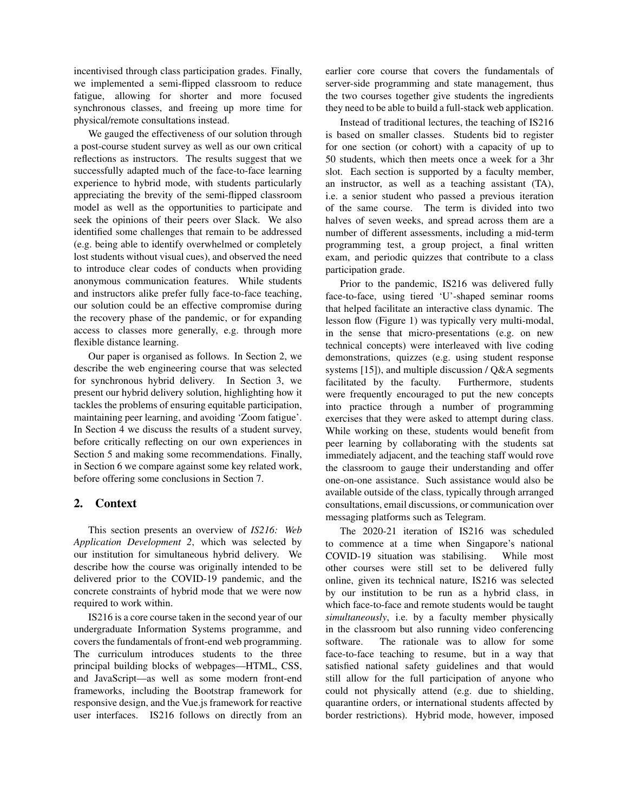incentivised through class participation grades. Finally, we implemented a semi-flipped classroom to reduce fatigue, allowing for shorter and more focused synchronous classes, and freeing up more time for physical/remote consultations instead.

We gauged the effectiveness of our solution through a post-course student survey as well as our own critical reflections as instructors. The results suggest that we successfully adapted much of the face-to-face learning experience to hybrid mode, with students particularly appreciating the brevity of the semi-flipped classroom model as well as the opportunities to participate and seek the opinions of their peers over Slack. We also identified some challenges that remain to be addressed (e.g. being able to identify overwhelmed or completely lost students without visual cues), and observed the need to introduce clear codes of conducts when providing anonymous communication features. While students and instructors alike prefer fully face-to-face teaching, our solution could be an effective compromise during the recovery phase of the pandemic, or for expanding access to classes more generally, e.g. through more flexible distance learning.

Our paper is organised as follows. In Section 2, we describe the web engineering course that was selected for synchronous hybrid delivery. In Section 3, we present our hybrid delivery solution, highlighting how it tackles the problems of ensuring equitable participation, maintaining peer learning, and avoiding 'Zoom fatigue'. In Section 4 we discuss the results of a student survey, before critically reflecting on our own experiences in Section 5 and making some recommendations. Finally, in Section 6 we compare against some key related work, before offering some conclusions in Section 7.

### 2. Context

This section presents an overview of *IS216: Web Application Development 2*, which was selected by our institution for simultaneous hybrid delivery. We describe how the course was originally intended to be delivered prior to the COVID-19 pandemic, and the concrete constraints of hybrid mode that we were now required to work within.

IS216 is a core course taken in the second year of our undergraduate Information Systems programme, and covers the fundamentals of front-end web programming. The curriculum introduces students to the three principal building blocks of webpages—HTML, CSS, and JavaScript—as well as some modern front-end frameworks, including the Bootstrap framework for responsive design, and the Vue.js framework for reactive user interfaces. IS216 follows on directly from an

earlier core course that covers the fundamentals of server-side programming and state management, thus the two courses together give students the ingredients they need to be able to build a full-stack web application.

Instead of traditional lectures, the teaching of IS216 is based on smaller classes. Students bid to register for one section (or cohort) with a capacity of up to 50 students, which then meets once a week for a 3hr slot. Each section is supported by a faculty member, an instructor, as well as a teaching assistant (TA), i.e. a senior student who passed a previous iteration of the same course. The term is divided into two halves of seven weeks, and spread across them are a number of different assessments, including a mid-term programming test, a group project, a final written exam, and periodic quizzes that contribute to a class participation grade.

Prior to the pandemic, IS216 was delivered fully face-to-face, using tiered 'U'-shaped seminar rooms that helped facilitate an interactive class dynamic. The lesson flow (Figure 1) was typically very multi-modal, in the sense that micro-presentations (e.g. on new technical concepts) were interleaved with live coding demonstrations, quizzes (e.g. using student response systems [15]), and multiple discussion / Q&A segments facilitated by the faculty. Furthermore, students were frequently encouraged to put the new concepts into practice through a number of programming exercises that they were asked to attempt during class. While working on these, students would benefit from peer learning by collaborating with the students sat immediately adjacent, and the teaching staff would rove the classroom to gauge their understanding and offer one-on-one assistance. Such assistance would also be available outside of the class, typically through arranged consultations, email discussions, or communication over messaging platforms such as Telegram.

The 2020-21 iteration of IS216 was scheduled to commence at a time when Singapore's national COVID-19 situation was stabilising. While most other courses were still set to be delivered fully online, given its technical nature, IS216 was selected by our institution to be run as a hybrid class, in which face-to-face and remote students would be taught *simultaneously*, i.e. by a faculty member physically in the classroom but also running video conferencing software. The rationale was to allow for some face-to-face teaching to resume, but in a way that satisfied national safety guidelines and that would still allow for the full participation of anyone who could not physically attend (e.g. due to shielding, quarantine orders, or international students affected by border restrictions). Hybrid mode, however, imposed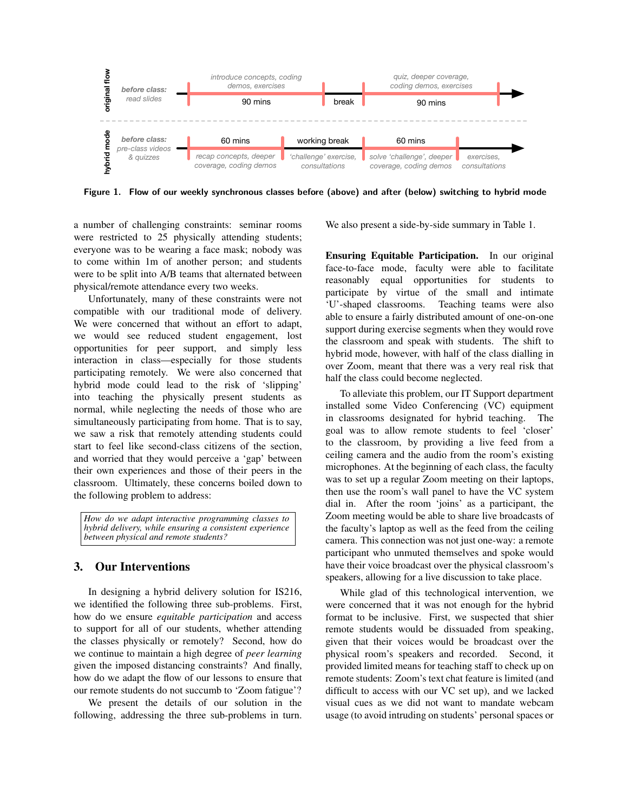

Figure 1. Flow of our weekly synchronous classes before (above) and after (below) switching to hybrid mode

a number of challenging constraints: seminar rooms were restricted to 25 physically attending students; everyone was to be wearing a face mask; nobody was to come within 1m of another person; and students were to be split into A/B teams that alternated between physical/remote attendance every two weeks.

Unfortunately, many of these constraints were not compatible with our traditional mode of delivery. We were concerned that without an effort to adapt, we would see reduced student engagement, lost opportunities for peer support, and simply less interaction in class—especially for those students participating remotely. We were also concerned that hybrid mode could lead to the risk of 'slipping' into teaching the physically present students as normal, while neglecting the needs of those who are simultaneously participating from home. That is to say, we saw a risk that remotely attending students could start to feel like second-class citizens of the section, and worried that they would perceive a 'gap' between their own experiences and those of their peers in the classroom. Ultimately, these concerns boiled down to the following problem to address:

*How do we adapt interactive programming classes to hybrid delivery, while ensuring a consistent experience between physical and remote students?*

### 3. Our Interventions

In designing a hybrid delivery solution for IS216, we identified the following three sub-problems. First, how do we ensure *equitable participation* and access to support for all of our students, whether attending the classes physically or remotely? Second, how do we continue to maintain a high degree of *peer learning* given the imposed distancing constraints? And finally, how do we adapt the flow of our lessons to ensure that our remote students do not succumb to 'Zoom fatigue'?

We present the details of our solution in the following, addressing the three sub-problems in turn.

We also present a side-by-side summary in Table 1.

Ensuring Equitable Participation. In our original face-to-face mode, faculty were able to facilitate reasonably equal opportunities for students to participate by virtue of the small and intimate 'U'-shaped classrooms. Teaching teams were also able to ensure a fairly distributed amount of one-on-one support during exercise segments when they would rove the classroom and speak with students. The shift to hybrid mode, however, with half of the class dialling in over Zoom, meant that there was a very real risk that half the class could become neglected.

To alleviate this problem, our IT Support department installed some Video Conferencing (VC) equipment in classrooms designated for hybrid teaching. The goal was to allow remote students to feel 'closer' to the classroom, by providing a live feed from a ceiling camera and the audio from the room's existing microphones. At the beginning of each class, the faculty was to set up a regular Zoom meeting on their laptops, then use the room's wall panel to have the VC system dial in. After the room 'joins' as a participant, the Zoom meeting would be able to share live broadcasts of the faculty's laptop as well as the feed from the ceiling camera. This connection was not just one-way: a remote participant who unmuted themselves and spoke would have their voice broadcast over the physical classroom's speakers, allowing for a live discussion to take place.

While glad of this technological intervention, we were concerned that it was not enough for the hybrid format to be inclusive. First, we suspected that shier remote students would be dissuaded from speaking, given that their voices would be broadcast over the physical room's speakers and recorded. Second, it provided limited means for teaching staff to check up on remote students: Zoom's text chat feature is limited (and difficult to access with our VC set up), and we lacked visual cues as we did not want to mandate webcam usage (to avoid intruding on students' personal spaces or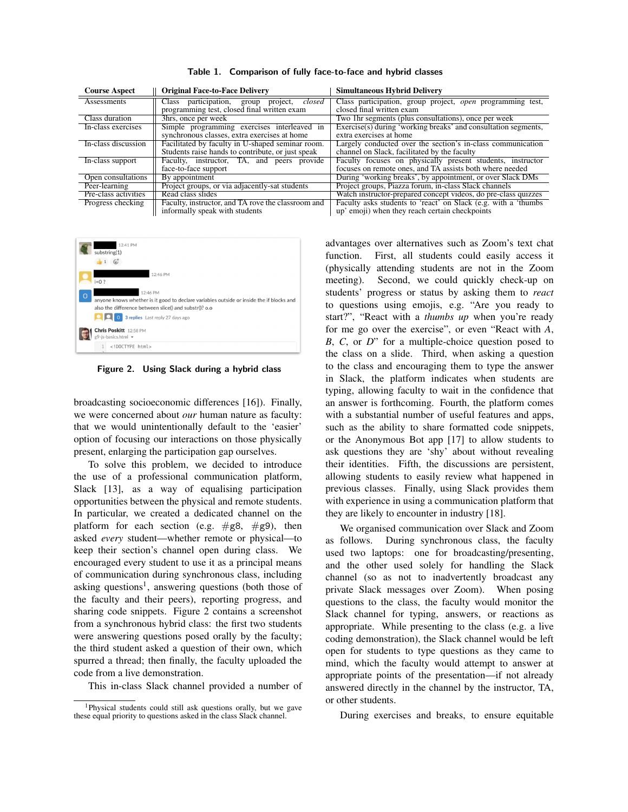| <b>Course Aspect</b> | <b>Original Face-to-Face Delivery</b>                   | <b>Simultaneous Hybrid Delivery</b>                               |  |
|----------------------|---------------------------------------------------------|-------------------------------------------------------------------|--|
| Assessments          | Class participation,<br>project, <i>closed</i><br>group | Class participation, group project, <i>open</i> programming test, |  |
|                      | programming test, closed final written exam             | closed final written exam                                         |  |
| Class duration       | 3hrs, once per week                                     | Two 1hr segments (plus consultations), once per week              |  |
| In-class exercises   | Simple programming exercises interleaved in             | Exercise(s) during 'working breaks' and consultation segments,    |  |
|                      | synchronous classes, extra exercises at home            | extra exercises at home                                           |  |
| In-class discussion  | Facilitated by faculty in U-shaped seminar room.        | Largely conducted over the section's in-class communication       |  |
|                      | Students raise hands to contribute, or just speak       | channel on Slack, facilitated by the faculty                      |  |
| In-class support     | Faculty, instructor, TA, and peers provide              | Faculty focuses on physically present students, instructor        |  |
|                      | face-to-face support                                    | focuses on remote ones, and TA assists both where needed          |  |
| Open consultations   | By appointment                                          | During 'working breaks', by appointment, or over Slack DMs        |  |
| Peer-learning        | Project groups, or via adjacently-sat students          | Project groups, Piazza forum, in-class Slack channels             |  |
| Pre-class activities | Read class slides                                       | Watch instructor-prepared concept videos, do pre-class quizzes    |  |
| Progress checking    | Faculty, instructor, and TA rove the classroom and      | Faculty asks students to 'react' on Slack (e.g. with a 'thumbs'   |  |
|                      | informally speak with students                          | up' emoji) when they reach certain checkpoints                    |  |

Table 1. Comparison of fully face-to-face and hybrid classes



Figure 2. Using Slack during a hybrid class

broadcasting socioeconomic differences [16]). Finally, we were concerned about *our* human nature as faculty: that we would unintentionally default to the 'easier' option of focusing our interactions on those physically present, enlarging the participation gap ourselves.

To solve this problem, we decided to introduce the use of a professional communication platform, Slack [13], as a way of equalising participation opportunities between the physical and remote students. In particular, we created a dedicated channel on the platform for each section (e.g.  $\#$ g8,  $\#$ g9), then asked *every* student—whether remote or physical—to keep their section's channel open during class. We encouraged every student to use it as a principal means of communication during synchronous class, including asking questions<sup>1</sup>, answering questions (both those of the faculty and their peers), reporting progress, and sharing code snippets. Figure 2 contains a screenshot from a synchronous hybrid class: the first two students were answering questions posed orally by the faculty; the third student asked a question of their own, which spurred a thread; then finally, the faculty uploaded the code from a live demonstration.

This in-class Slack channel provided a number of

advantages over alternatives such as Zoom's text chat function. First, all students could easily access it (physically attending students are not in the Zoom meeting). Second, we could quickly check-up on students' progress or status by asking them to *react* to questions using emojis, e.g. "Are you ready to start?", "React with a *thumbs up* when you're ready for me go over the exercise", or even "React with *A*, *B*, *C*, or *D*" for a multiple-choice question posed to the class on a slide. Third, when asking a question to the class and encouraging them to type the answer in Slack, the platform indicates when students are typing, allowing faculty to wait in the confidence that an answer is forthcoming. Fourth, the platform comes with a substantial number of useful features and apps, such as the ability to share formatted code snippets, or the Anonymous Bot app [17] to allow students to ask questions they are 'shy' about without revealing their identities. Fifth, the discussions are persistent, allowing students to easily review what happened in previous classes. Finally, using Slack provides them with experience in using a communication platform that they are likely to encounter in industry [18].

We organised communication over Slack and Zoom as follows. During synchronous class, the faculty used two laptops: one for broadcasting/presenting, and the other used solely for handling the Slack channel (so as not to inadvertently broadcast any private Slack messages over Zoom). When posing questions to the class, the faculty would monitor the Slack channel for typing, answers, or reactions as appropriate. While presenting to the class (e.g. a live coding demonstration), the Slack channel would be left open for students to type questions as they came to mind, which the faculty would attempt to answer at appropriate points of the presentation—if not already answered directly in the channel by the instructor, TA, or other students.

During exercises and breaks, to ensure equitable

<sup>1</sup>Physical students could still ask questions orally, but we gave these equal priority to questions asked in the class Slack channel.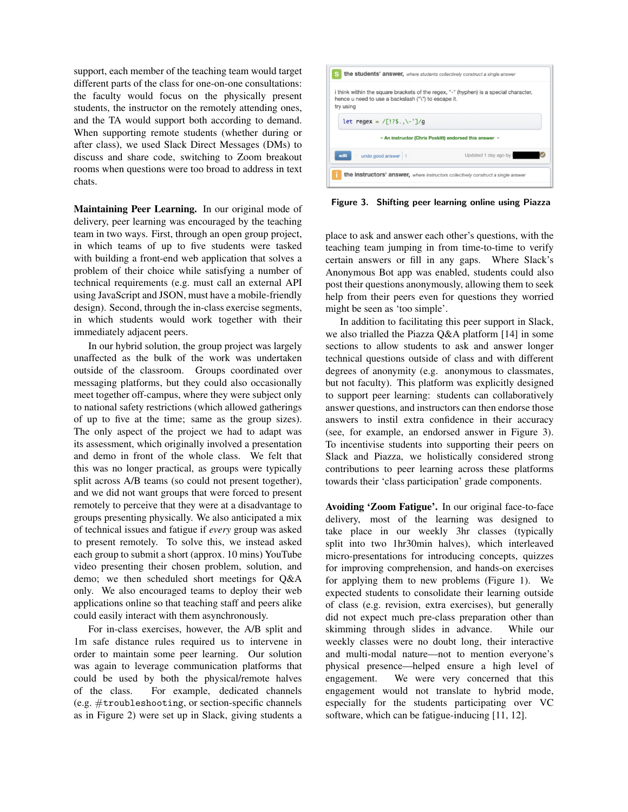support, each member of the teaching team would target different parts of the class for one-on-one consultations: the faculty would focus on the physically present students, the instructor on the remotely attending ones, and the TA would support both according to demand. When supporting remote students (whether during or after class), we used Slack Direct Messages (DMs) to discuss and share code, switching to Zoom breakout rooms when questions were too broad to address in text chats.

Maintaining Peer Learning. In our original mode of delivery, peer learning was encouraged by the teaching team in two ways. First, through an open group project, in which teams of up to five students were tasked with building a front-end web application that solves a problem of their choice while satisfying a number of technical requirements (e.g. must call an external API using JavaScript and JSON, must have a mobile-friendly design). Second, through the in-class exercise segments, in which students would work together with their immediately adjacent peers.

In our hybrid solution, the group project was largely unaffected as the bulk of the work was undertaken outside of the classroom. Groups coordinated over messaging platforms, but they could also occasionally meet together off-campus, where they were subject only to national safety restrictions (which allowed gatherings of up to five at the time; same as the group sizes). The only aspect of the project we had to adapt was its assessment, which originally involved a presentation and demo in front of the whole class. We felt that this was no longer practical, as groups were typically split across A/B teams (so could not present together), and we did not want groups that were forced to present remotely to perceive that they were at a disadvantage to groups presenting physically. We also anticipated a mix of technical issues and fatigue if *every* group was asked to present remotely. To solve this, we instead asked each group to submit a short (approx. 10 mins) YouTube video presenting their chosen problem, solution, and demo; we then scheduled short meetings for Q&A only. We also encouraged teams to deploy their web applications online so that teaching staff and peers alike could easily interact with them asynchronously.

For in-class exercises, however, the A/B split and 1m safe distance rules required us to intervene in order to maintain some peer learning. Our solution was again to leverage communication platforms that could be used by both the physical/remote halves of the class. For example, dedicated channels (e.g. #troubleshooting, or section-specific channels as in Figure 2) were set up in Slack, giving students a



Figure 3. Shifting peer learning online using Piazza

place to ask and answer each other's questions, with the teaching team jumping in from time-to-time to verify certain answers or fill in any gaps. Where Slack's Anonymous Bot app was enabled, students could also post their questions anonymously, allowing them to seek help from their peers even for questions they worried might be seen as 'too simple'.

In addition to facilitating this peer support in Slack, we also trialled the Piazza Q&A platform [14] in some sections to allow students to ask and answer longer technical questions outside of class and with different degrees of anonymity (e.g. anonymous to classmates, but not faculty). This platform was explicitly designed to support peer learning: students can collaboratively answer questions, and instructors can then endorse those answers to instil extra confidence in their accuracy (see, for example, an endorsed answer in Figure 3). To incentivise students into supporting their peers on Slack and Piazza, we holistically considered strong contributions to peer learning across these platforms towards their 'class participation' grade components.

Avoiding 'Zoom Fatigue'. In our original face-to-face delivery, most of the learning was designed to take place in our weekly 3hr classes (typically split into two 1hr30min halves), which interleaved micro-presentations for introducing concepts, quizzes for improving comprehension, and hands-on exercises for applying them to new problems (Figure 1). We expected students to consolidate their learning outside of class (e.g. revision, extra exercises), but generally did not expect much pre-class preparation other than skimming through slides in advance. While our weekly classes were no doubt long, their interactive and multi-modal nature—not to mention everyone's physical presence—helped ensure a high level of engagement. We were very concerned that this engagement would not translate to hybrid mode, especially for the students participating over VC software, which can be fatigue-inducing [11, 12].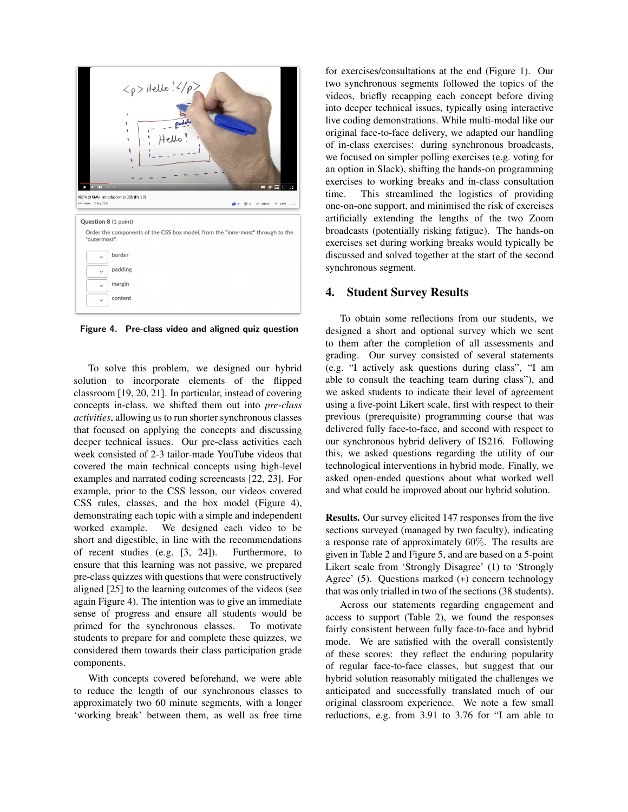

Figure 4. Pre-class video and aligned quiz question

To solve this problem, we designed our hybrid solution to incorporate elements of the flipped classroom [19, 20, 21]. In particular, instead of covering concepts in-class, we shifted them out into *pre-class activities*, allowing us to run shorter synchronous classes that focused on applying the concepts and discussing deeper technical issues. Our pre-class activities each week consisted of 2-3 tailor-made YouTube videos that covered the main technical concepts using high-level examples and narrated coding screencasts [22, 23]. For example, prior to the CSS lesson, our videos covered CSS rules, classes, and the box model (Figure 4), demonstrating each topic with a simple and independent worked example. We designed each video to be short and digestible, in line with the recommendations of recent studies (e.g. [3, 24]). Furthermore, to ensure that this learning was not passive, we prepared pre-class quizzes with questions that were constructively aligned [25] to the learning outcomes of the videos (see again Figure 4). The intention was to give an immediate sense of progress and ensure all students would be primed for the synchronous classes. To motivate students to prepare for and complete these quizzes, we considered them towards their class participation grade components.

With concepts covered beforehand, we were able to reduce the length of our synchronous classes to approximately two 60 minute segments, with a longer 'working break' between them, as well as free time

for exercises/consultations at the end (Figure 1). Our two synchronous segments followed the topics of the videos, briefly recapping each concept before diving into deeper technical issues, typically using interactive live coding demonstrations. While multi-modal like our original face-to-face delivery, we adapted our handling of in-class exercises: during synchronous broadcasts, we focused on simpler polling exercises (e.g. voting for an option in Slack), shifting the hands-on programming exercises to working breaks and in-class consultation time. This streamlined the logistics of providing one-on-one support, and minimised the risk of exercises artificially extending the lengths of the two Zoom broadcasts (potentially risking fatigue). The hands-on exercises set during working breaks would typically be discussed and solved together at the start of the second synchronous segment.

### 4. Student Survey Results

To obtain some reflections from our students, we designed a short and optional survey which we sent to them after the completion of all assessments and grading. Our survey consisted of several statements (e.g. "I actively ask questions during class", "I am able to consult the teaching team during class"), and we asked students to indicate their level of agreement using a five-point Likert scale, first with respect to their previous (prerequisite) programming course that was delivered fully face-to-face, and second with respect to our synchronous hybrid delivery of IS216. Following this, we asked questions regarding the utility of our technological interventions in hybrid mode. Finally, we asked open-ended questions about what worked well and what could be improved about our hybrid solution.

Results. Our survey elicited 147 responses from the five sections surveyed (managed by two faculty), indicating a response rate of approximately 60%. The results are given in Table 2 and Figure 5, and are based on a 5-point Likert scale from 'Strongly Disagree' (1) to 'Strongly Agree' (5). Questions marked (∗) concern technology that was only trialled in two of the sections (38 students).

Across our statements regarding engagement and access to support (Table 2), we found the responses fairly consistent between fully face-to-face and hybrid mode. We are satisfied with the overall consistently of these scores: they reflect the enduring popularity of regular face-to-face classes, but suggest that our hybrid solution reasonably mitigated the challenges we anticipated and successfully translated much of our original classroom experience. We note a few small reductions, e.g. from 3.91 to 3.76 for "I am able to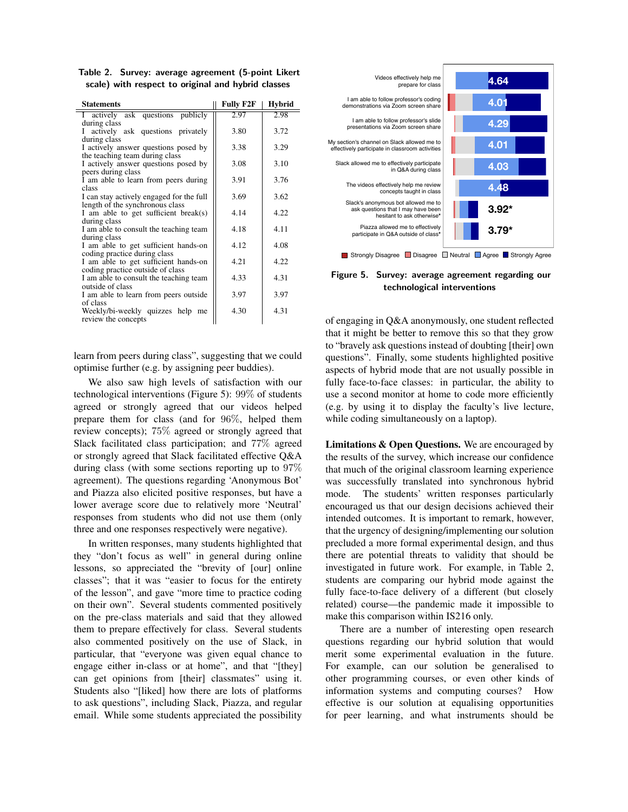Table 2. Survey: average agreement (5-point Likert scale) with respect to original and hybrid classes

| <b>Statements</b>                                                           | <b>Fully F2F</b> | <b>Hybrid</b> |
|-----------------------------------------------------------------------------|------------------|---------------|
| I actively ask questions publicly<br>during class                           | 2.97             | 2.98          |
| actively ask questions privately<br>L<br>during class                       | 3.80             | 3.72          |
| I actively answer questions posed by<br>the teaching team during class      | 3.38             | 3.29          |
| I actively answer questions posed by<br>peers during class                  | 3.08             | 3.10          |
| I am able to learn from peers during<br>class                               | 3.91             | 3.76          |
| I can stay actively engaged for the full<br>length of the synchronous class | 3.69             | 3.62          |
| I am able to get sufficient break(s)<br>during class                        | 4.14             | 4.22          |
| I am able to consult the teaching team<br>during class                      | 4.18             | 4.11          |
| I am able to get sufficient hands-on<br>coding practice during class        | 4.12             | 4.08          |
| I am able to get sufficient hands-on<br>coding practice outside of class    | 4.21             | 4.22          |
| I am able to consult the teaching team<br>outside of class                  | 4.33             | 4.31          |
| I am able to learn from peers outside<br>of class                           | 3.97             | 3.97          |
| Weekly/bi-weekly quizzes help me<br>review the concepts                     | 4.30             | 4.31          |

learn from peers during class", suggesting that we could optimise further (e.g. by assigning peer buddies).

We also saw high levels of satisfaction with our technological interventions (Figure 5): 99% of students agreed or strongly agreed that our videos helped prepare them for class (and for 96%, helped them review concepts); 75% agreed or strongly agreed that Slack facilitated class participation; and 77% agreed or strongly agreed that Slack facilitated effective Q&A during class (with some sections reporting up to 97% agreement). The questions regarding 'Anonymous Bot' and Piazza also elicited positive responses, but have a lower average score due to relatively more 'Neutral' responses from students who did not use them (only three and one responses respectively were negative).

In written responses, many students highlighted that they "don't focus as well" in general during online lessons, so appreciated the "brevity of [our] online classes"; that it was "easier to focus for the entirety of the lesson", and gave "more time to practice coding on their own". Several students commented positively on the pre-class materials and said that they allowed them to prepare effectively for class. Several students also commented positively on the use of Slack, in particular, that "everyone was given equal chance to engage either in-class or at home", and that "[they] can get opinions from [their] classmates" using it. Students also "[liked] how there are lots of platforms to ask questions", including Slack, Piazza, and regular email. While some students appreciated the possibility



Figure 5. Survey: average agreement regarding our technological interventions

of engaging in Q&A anonymously, one student reflected that it might be better to remove this so that they grow to "bravely ask questions instead of doubting [their] own questions". Finally, some students highlighted positive aspects of hybrid mode that are not usually possible in fully face-to-face classes: in particular, the ability to use a second monitor at home to code more efficiently (e.g. by using it to display the faculty's live lecture, while coding simultaneously on a laptop).

Limitations & Open Questions. We are encouraged by the results of the survey, which increase our confidence that much of the original classroom learning experience was successfully translated into synchronous hybrid mode. The students' written responses particularly encouraged us that our design decisions achieved their intended outcomes. It is important to remark, however, that the urgency of designing/implementing our solution precluded a more formal experimental design, and thus there are potential threats to validity that should be investigated in future work. For example, in Table 2, students are comparing our hybrid mode against the fully face-to-face delivery of a different (but closely related) course—the pandemic made it impossible to make this comparison within IS216 only.

There are a number of interesting open research questions regarding our hybrid solution that would merit some experimental evaluation in the future. For example, can our solution be generalised to other programming courses, or even other kinds of information systems and computing courses? How effective is our solution at equalising opportunities for peer learning, and what instruments should be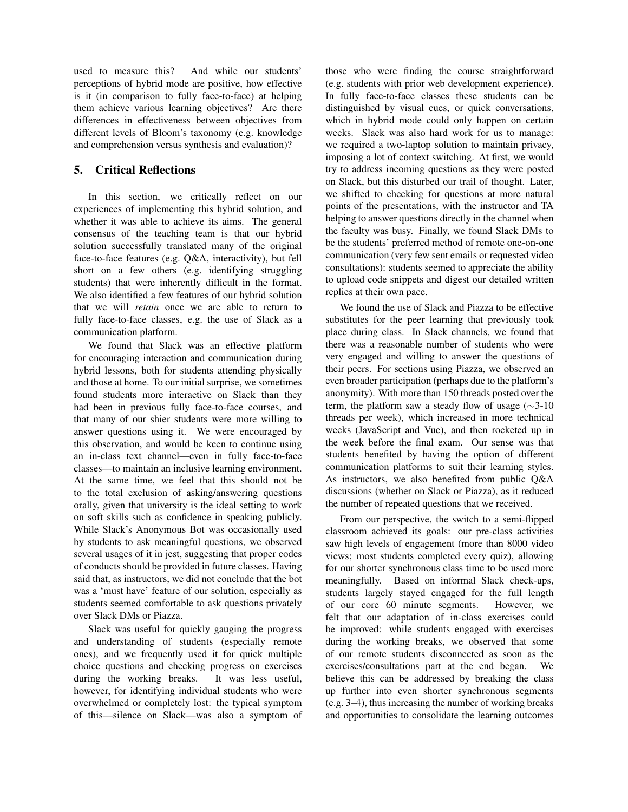used to measure this? And while our students' perceptions of hybrid mode are positive, how effective is it (in comparison to fully face-to-face) at helping them achieve various learning objectives? Are there differences in effectiveness between objectives from different levels of Bloom's taxonomy (e.g. knowledge and comprehension versus synthesis and evaluation)?

## 5. Critical Reflections

In this section, we critically reflect on our experiences of implementing this hybrid solution, and whether it was able to achieve its aims. The general consensus of the teaching team is that our hybrid solution successfully translated many of the original face-to-face features (e.g. Q&A, interactivity), but fell short on a few others (e.g. identifying struggling students) that were inherently difficult in the format. We also identified a few features of our hybrid solution that we will *retain* once we are able to return to fully face-to-face classes, e.g. the use of Slack as a communication platform.

We found that Slack was an effective platform for encouraging interaction and communication during hybrid lessons, both for students attending physically and those at home. To our initial surprise, we sometimes found students more interactive on Slack than they had been in previous fully face-to-face courses, and that many of our shier students were more willing to answer questions using it. We were encouraged by this observation, and would be keen to continue using an in-class text channel—even in fully face-to-face classes—to maintain an inclusive learning environment. At the same time, we feel that this should not be to the total exclusion of asking/answering questions orally, given that university is the ideal setting to work on soft skills such as confidence in speaking publicly. While Slack's Anonymous Bot was occasionally used by students to ask meaningful questions, we observed several usages of it in jest, suggesting that proper codes of conducts should be provided in future classes. Having said that, as instructors, we did not conclude that the bot was a 'must have' feature of our solution, especially as students seemed comfortable to ask questions privately over Slack DMs or Piazza.

Slack was useful for quickly gauging the progress and understanding of students (especially remote ones), and we frequently used it for quick multiple choice questions and checking progress on exercises during the working breaks. It was less useful, however, for identifying individual students who were overwhelmed or completely lost: the typical symptom of this—silence on Slack—was also a symptom of those who were finding the course straightforward (e.g. students with prior web development experience). In fully face-to-face classes these students can be distinguished by visual cues, or quick conversations, which in hybrid mode could only happen on certain weeks. Slack was also hard work for us to manage: we required a two-laptop solution to maintain privacy, imposing a lot of context switching. At first, we would try to address incoming questions as they were posted on Slack, but this disturbed our trail of thought. Later, we shifted to checking for questions at more natural points of the presentations, with the instructor and TA helping to answer questions directly in the channel when the faculty was busy. Finally, we found Slack DMs to be the students' preferred method of remote one-on-one communication (very few sent emails or requested video consultations): students seemed to appreciate the ability to upload code snippets and digest our detailed written replies at their own pace.

We found the use of Slack and Piazza to be effective substitutes for the peer learning that previously took place during class. In Slack channels, we found that there was a reasonable number of students who were very engaged and willing to answer the questions of their peers. For sections using Piazza, we observed an even broader participation (perhaps due to the platform's anonymity). With more than 150 threads posted over the term, the platform saw a steady flow of usage (∼3-10 threads per week), which increased in more technical weeks (JavaScript and Vue), and then rocketed up in the week before the final exam. Our sense was that students benefited by having the option of different communication platforms to suit their learning styles. As instructors, we also benefited from public Q&A discussions (whether on Slack or Piazza), as it reduced the number of repeated questions that we received.

From our perspective, the switch to a semi-flipped classroom achieved its goals: our pre-class activities saw high levels of engagement (more than 8000 video views; most students completed every quiz), allowing for our shorter synchronous class time to be used more meaningfully. Based on informal Slack check-ups, students largely stayed engaged for the full length of our core 60 minute segments. However, we felt that our adaptation of in-class exercises could be improved: while students engaged with exercises during the working breaks, we observed that some of our remote students disconnected as soon as the exercises/consultations part at the end began. We believe this can be addressed by breaking the class up further into even shorter synchronous segments (e.g. 3–4), thus increasing the number of working breaks and opportunities to consolidate the learning outcomes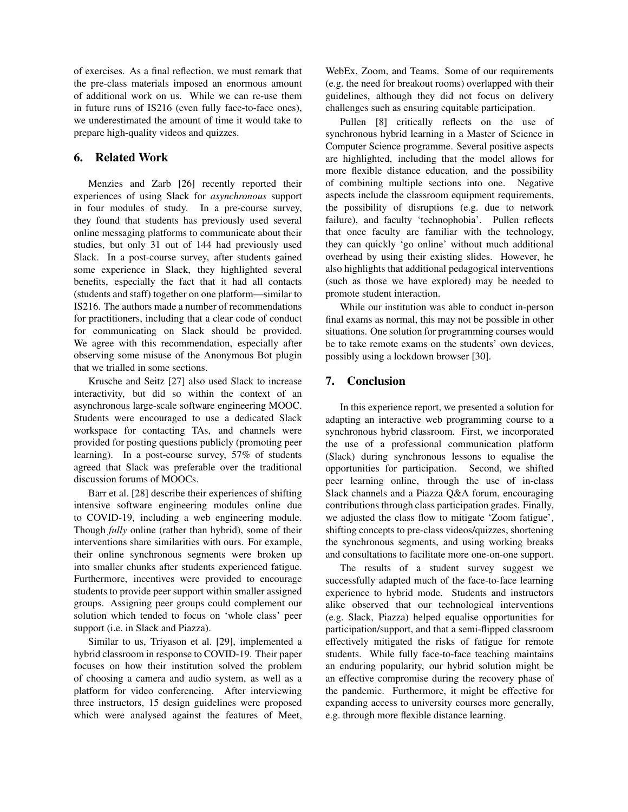of exercises. As a final reflection, we must remark that the pre-class materials imposed an enormous amount of additional work on us. While we can re-use them in future runs of IS216 (even fully face-to-face ones), we underestimated the amount of time it would take to prepare high-quality videos and quizzes.

## 6. Related Work

Menzies and Zarb [26] recently reported their experiences of using Slack for *asynchronous* support in four modules of study. In a pre-course survey, they found that students has previously used several online messaging platforms to communicate about their studies, but only 31 out of 144 had previously used Slack. In a post-course survey, after students gained some experience in Slack, they highlighted several benefits, especially the fact that it had all contacts (students and staff) together on one platform—similar to IS216. The authors made a number of recommendations for practitioners, including that a clear code of conduct for communicating on Slack should be provided. We agree with this recommendation, especially after observing some misuse of the Anonymous Bot plugin that we trialled in some sections.

Krusche and Seitz [27] also used Slack to increase interactivity, but did so within the context of an asynchronous large-scale software engineering MOOC. Students were encouraged to use a dedicated Slack workspace for contacting TAs, and channels were provided for posting questions publicly (promoting peer learning). In a post-course survey, 57% of students agreed that Slack was preferable over the traditional discussion forums of MOOCs.

Barr et al. [28] describe their experiences of shifting intensive software engineering modules online due to COVID-19, including a web engineering module. Though *fully* online (rather than hybrid), some of their interventions share similarities with ours. For example, their online synchronous segments were broken up into smaller chunks after students experienced fatigue. Furthermore, incentives were provided to encourage students to provide peer support within smaller assigned groups. Assigning peer groups could complement our solution which tended to focus on 'whole class' peer support (i.e. in Slack and Piazza).

Similar to us, Triyason et al. [29], implemented a hybrid classroom in response to COVID-19. Their paper focuses on how their institution solved the problem of choosing a camera and audio system, as well as a platform for video conferencing. After interviewing three instructors, 15 design guidelines were proposed which were analysed against the features of Meet, WebEx, Zoom, and Teams. Some of our requirements (e.g. the need for breakout rooms) overlapped with their guidelines, although they did not focus on delivery challenges such as ensuring equitable participation.

Pullen [8] critically reflects on the use of synchronous hybrid learning in a Master of Science in Computer Science programme. Several positive aspects are highlighted, including that the model allows for more flexible distance education, and the possibility of combining multiple sections into one. Negative aspects include the classroom equipment requirements, the possibility of disruptions (e.g. due to network failure), and faculty 'technophobia'. Pullen reflects that once faculty are familiar with the technology, they can quickly 'go online' without much additional overhead by using their existing slides. However, he also highlights that additional pedagogical interventions (such as those we have explored) may be needed to promote student interaction.

While our institution was able to conduct in-person final exams as normal, this may not be possible in other situations. One solution for programming courses would be to take remote exams on the students' own devices, possibly using a lockdown browser [30].

# 7. Conclusion

In this experience report, we presented a solution for adapting an interactive web programming course to a synchronous hybrid classroom. First, we incorporated the use of a professional communication platform (Slack) during synchronous lessons to equalise the opportunities for participation. Second, we shifted peer learning online, through the use of in-class Slack channels and a Piazza Q&A forum, encouraging contributions through class participation grades. Finally, we adjusted the class flow to mitigate 'Zoom fatigue', shifting concepts to pre-class videos/quizzes, shortening the synchronous segments, and using working breaks and consultations to facilitate more one-on-one support.

The results of a student survey suggest we successfully adapted much of the face-to-face learning experience to hybrid mode. Students and instructors alike observed that our technological interventions (e.g. Slack, Piazza) helped equalise opportunities for participation/support, and that a semi-flipped classroom effectively mitigated the risks of fatigue for remote students. While fully face-to-face teaching maintains an enduring popularity, our hybrid solution might be an effective compromise during the recovery phase of the pandemic. Furthermore, it might be effective for expanding access to university courses more generally, e.g. through more flexible distance learning.